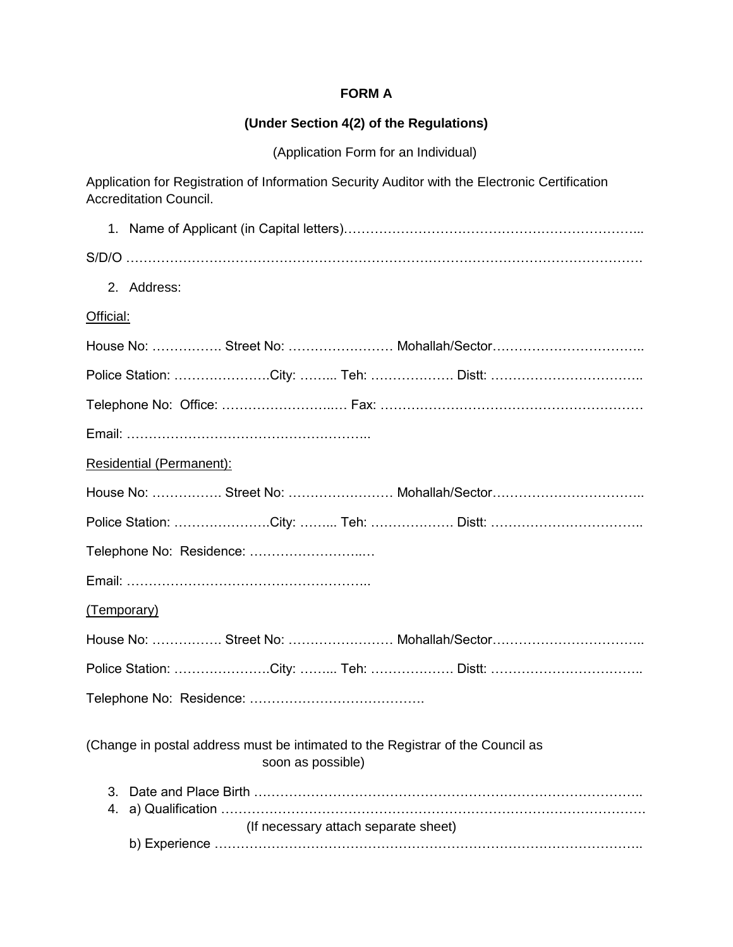#### **FORM A**

#### **(Under Section 4(2) of the Regulations)**

(Application Form for an Individual)

Application for Registration of Information Security Auditor with the Electronic Certification Accreditation Council. 1. Name of Applicant (in Capital letters)…………………………………………………………... S/D/O ………………………………………………………………………………………………………. 2. Address: Official: House No: ……………. Street No: …………………… Mohallah/Sector…………………………….. Police Station: ………………….City: ……... Teh: ………………. Distt: …………………………….. Telephone No: Office: ……………………..… Fax: …………………………………………………… Email: ……………………………………………….. Residential (Permanent): House No: ……………. Street No: …………………… Mohallah/Sector…………………………….. Police Station: ………………….City: ……... Teh: ………………. Distt: …………………………….. Telephone No: Residence: ……………………..… Email: ……………………………………………….. (Temporary) House No: ……………. Street No: …………………… Mohallah/Sector…………………………….. Police Station: ………………….City: ……... Teh: ………………. Distt: …………………………….. Telephone No: Residence: …………………………………. (Change in postal address must be intimated to the Registrar of the Council as soon as possible) 3. Date and Place Birth …………………………………………………………………………….. 4. a) Qualification …………………………………………………………………………………….

## (If necessary attach separate sheet)

|--|--|--|--|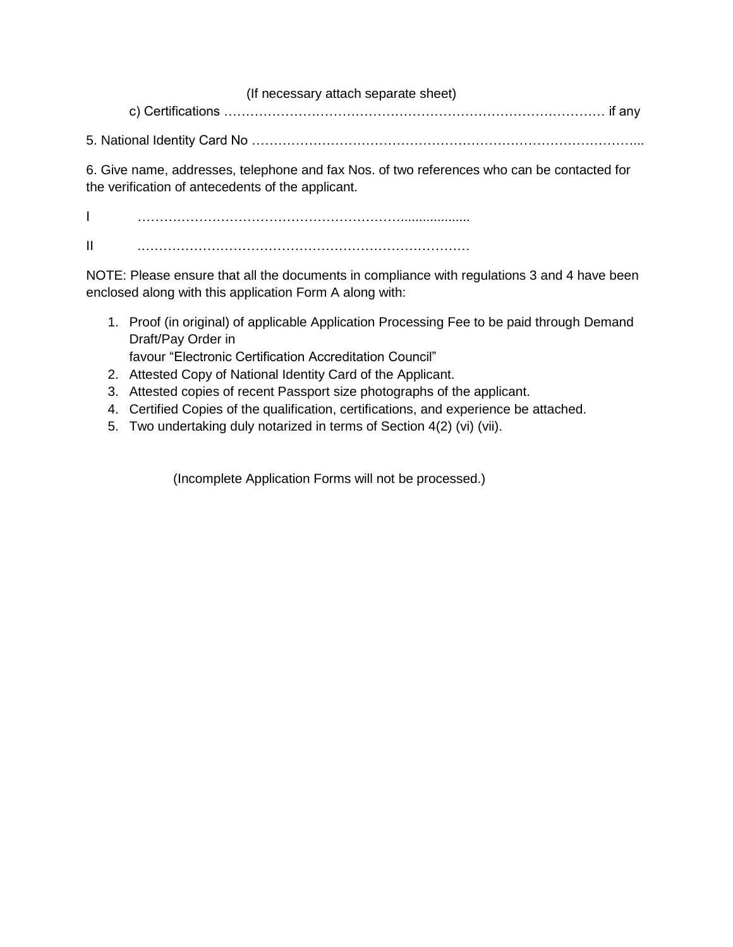(If necessary attach separate sheet) c) Certifications …………………………………………………………………………… if any

5. National Identity Card No ……………………………………………………………………………...

6. Give name, addresses, telephone and fax Nos. of two references who can be contacted for the verification of antecedents of the applicant.

I ……………………………………………………................... II .…………………………………………………………………

NOTE: Please ensure that all the documents in compliance with regulations 3 and 4 have been enclosed along with this application Form A along with:

1. Proof (in original) of applicable Application Processing Fee to be paid through Demand Draft/Pay Order in

favour "Electronic Certification Accreditation Council"

- 2. Attested Copy of National Identity Card of the Applicant.
- 3. Attested copies of recent Passport size photographs of the applicant.
- 4. Certified Copies of the qualification, certifications, and experience be attached.
- 5. Two undertaking duly notarized in terms of Section 4(2) (vi) (vii).

(Incomplete Application Forms will not be processed.)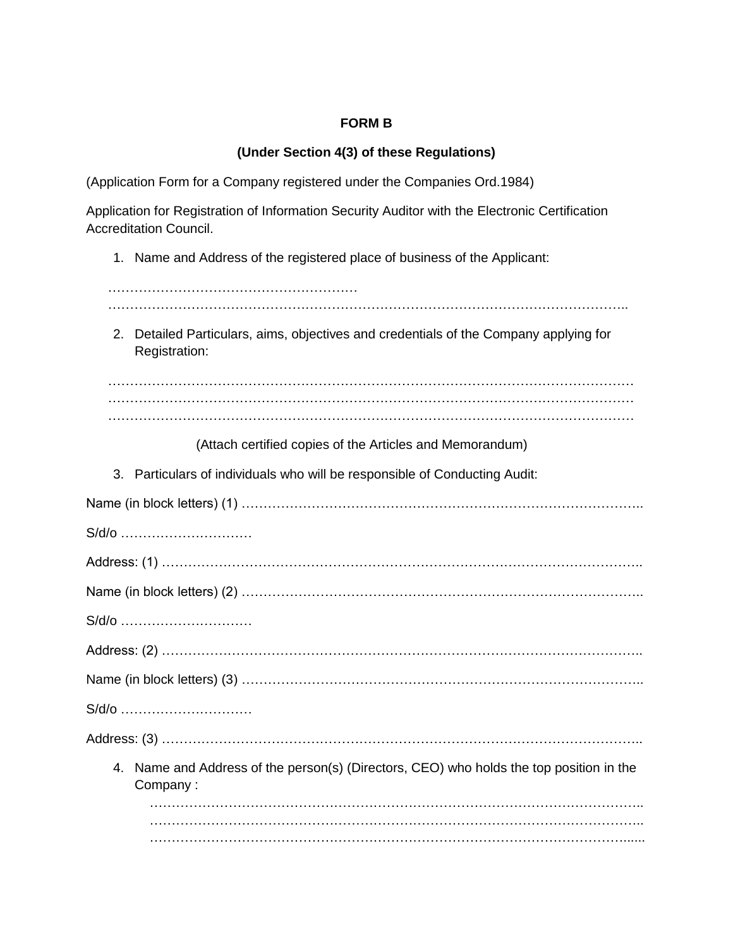## **FORM B**

# **(Under Section 4(3) of these Regulations)**

(Application Form for a Company registered under the Companies Ord.1984)

Application for Registration of Information Security Auditor with the Electronic Certification Accreditation Council.

1. Name and Address of the registered place of business of the Applicant:

| 2. Detailed Particulars, aims, objectives and credentials of the Company applying for<br>Registration: |
|--------------------------------------------------------------------------------------------------------|
|                                                                                                        |
|                                                                                                        |
| (Attach certified copies of the Articles and Memorandum)                                               |
| 3. Particulars of individuals who will be responsible of Conducting Audit:                             |
| Name (in block letters) (1) ………………………………………………………………………………                                             |
| S/d/o                                                                                                  |
|                                                                                                        |
| Name (in block letters) (2) ………………………………………………………………………………                                             |
| S/d/o                                                                                                  |
|                                                                                                        |
| Name (in block letters) (3) ………………………………………………………………………………                                             |
| S/d/o                                                                                                  |
|                                                                                                        |
| 4. Name and Address of the person(s) (Directors, CEO) who holds the top position in the<br>Company:    |
|                                                                                                        |
|                                                                                                        |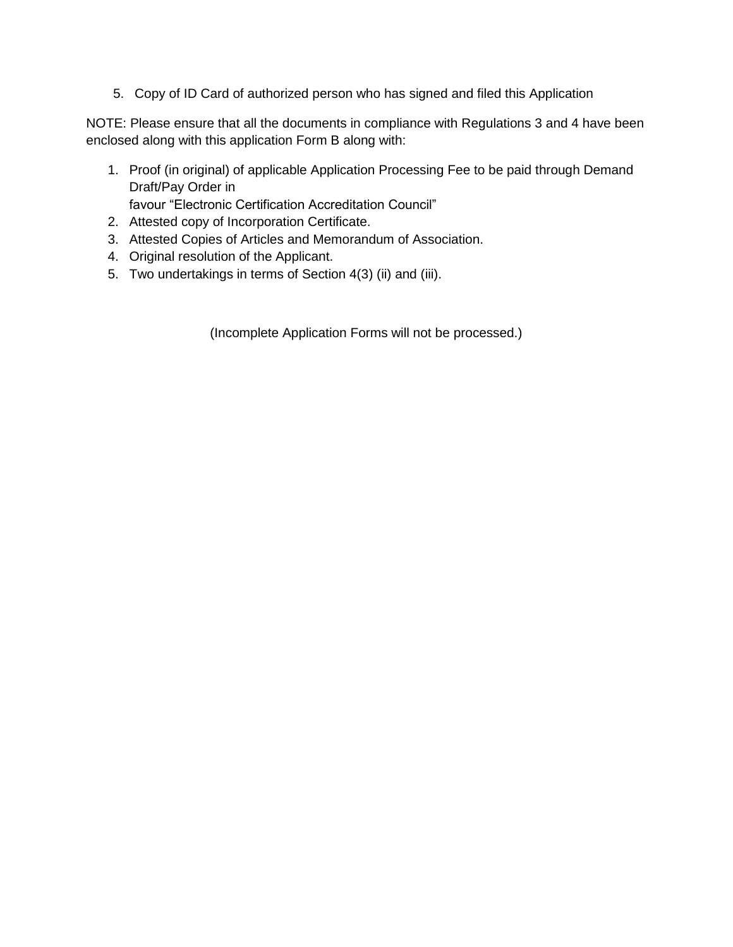5. Copy of ID Card of authorized person who has signed and filed this Application

NOTE: Please ensure that all the documents in compliance with Regulations 3 and 4 have been enclosed along with this application Form B along with:

- 1. Proof (in original) of applicable Application Processing Fee to be paid through Demand Draft/Pay Order in favour "Electronic Certification Accreditation Council"
- 2. Attested copy of Incorporation Certificate.
- 3. Attested Copies of Articles and Memorandum of Association.
- 4. Original resolution of the Applicant.
- 5. Two undertakings in terms of Section 4(3) (ii) and (iii).

(Incomplete Application Forms will not be processed.)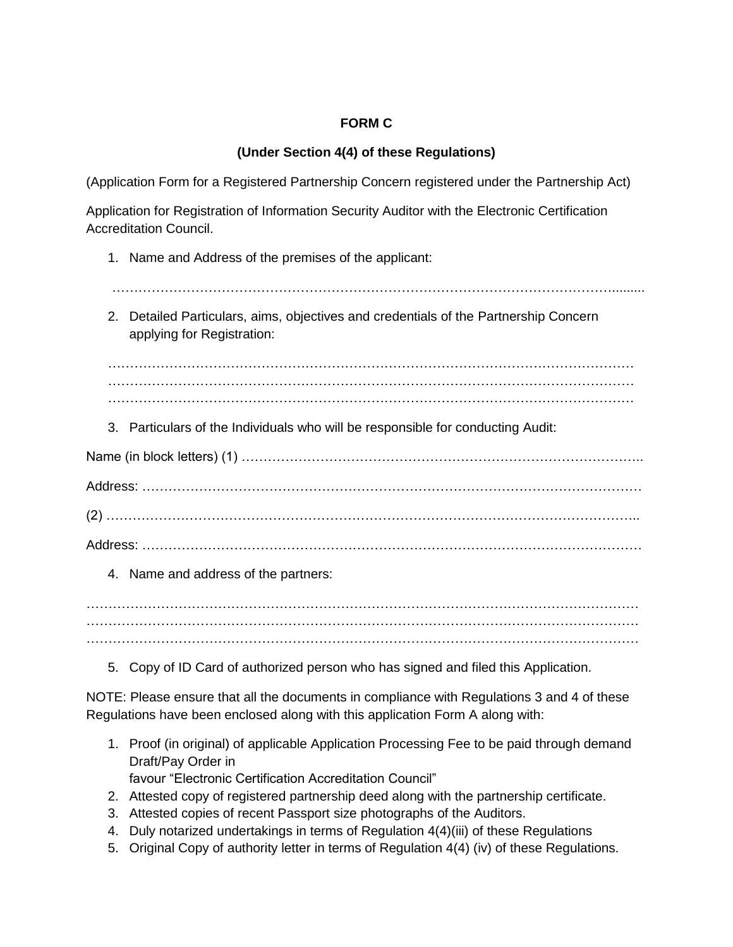# **FORM C**

# **(Under Section 4(4) of these Regulations)**

(Application Form for a Registered Partnership Concern registered under the Partnership Act)

Application for Registration of Information Security Auditor with the Electronic Certification Accreditation Council.

- 1. Name and Address of the premises of the applicant:
- …………………………………………………………………………………………………….........
	- 2. Detailed Particulars, aims, objectives and credentials of the Partnership Concern applying for Registration:

. The contract of the contract of the contract of the contract of the contract of the contract of the contract of the contract of the contract of the contract of the contract of the contract of the contract of the contrac ………………………………………………………………………………………………………… …………………………………………………………………………………………………………

3. Particulars of the Individuals who will be responsible for conducting Audit:

Name (in block letters) (1) ……………………………………………………………………………….. Address: …………………………………………………………………………………………………… (2) ………………………………………………………………………………………………………….. Address: ……………………………………………………………………………………………………

4. Name and address of the partners:

………………………………………………………………………………………………………………

5. Copy of ID Card of authorized person who has signed and filed this Application.

NOTE: Please ensure that all the documents in compliance with Regulations 3 and 4 of these Regulations have been enclosed along with this application Form A along with:

- 1. Proof (in original) of applicable Application Processing Fee to be paid through demand Draft/Pay Order in favour "Electronic Certification Accreditation Council"
- 2. Attested copy of registered partnership deed along with the partnership certificate.
- 3. Attested copies of recent Passport size photographs of the Auditors.
- 4. Duly notarized undertakings in terms of Regulation 4(4)(iii) of these Regulations
- 5. Original Copy of authority letter in terms of Regulation 4(4) (iv) of these Regulations.